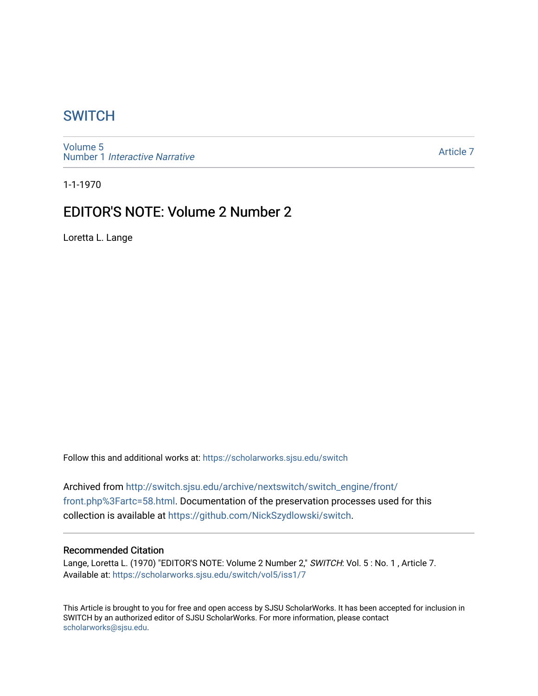# **SWITCH**

[Volume 5](https://scholarworks.sjsu.edu/switch/vol5) Number 1 [Interactive Narrative](https://scholarworks.sjsu.edu/switch/vol5/iss1)

[Article 7](https://scholarworks.sjsu.edu/switch/vol5/iss1/7) 

1-1-1970

# EDITOR'S NOTE: Volume 2 Number 2

Loretta L. Lange

Follow this and additional works at: [https://scholarworks.sjsu.edu/switch](https://scholarworks.sjsu.edu/switch?utm_source=scholarworks.sjsu.edu%2Fswitch%2Fvol5%2Fiss1%2F7&utm_medium=PDF&utm_campaign=PDFCoverPages)

Archived from [http://switch.sjsu.edu/archive/nextswitch/switch\\_engine/front/](http://switch.sjsu.edu/archive/nextswitch/switch_engine/front/front.php%3Fartc=58.html) [front.php%3Fartc=58.html](http://switch.sjsu.edu/archive/nextswitch/switch_engine/front/front.php%3Fartc=58.html). Documentation of the preservation processes used for this collection is available at [https://github.com/NickSzydlowski/switch.](https://github.com/NickSzydlowski/switch)

#### Recommended Citation

Lange, Loretta L. (1970) "EDITOR'S NOTE: Volume 2 Number 2," SWITCH: Vol. 5 : No. 1, Article 7. Available at: [https://scholarworks.sjsu.edu/switch/vol5/iss1/7](https://scholarworks.sjsu.edu/switch/vol5/iss1/7?utm_source=scholarworks.sjsu.edu%2Fswitch%2Fvol5%2Fiss1%2F7&utm_medium=PDF&utm_campaign=PDFCoverPages)

This Article is brought to you for free and open access by SJSU ScholarWorks. It has been accepted for inclusion in SWITCH by an authorized editor of SJSU ScholarWorks. For more information, please contact [scholarworks@sjsu.edu](mailto:scholarworks@sjsu.edu).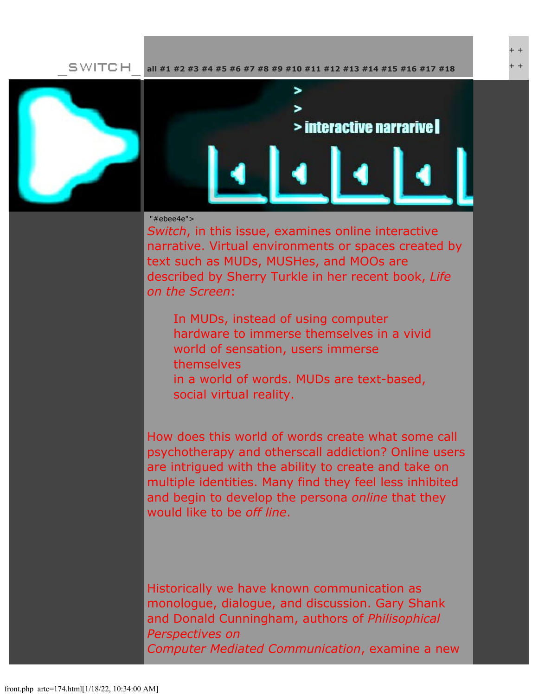**SWITCH [all](file:///Users/nszydlowski/Desktop/websites%20copy/Switch%20Journal/switch.sjsu.edu/archive/nextswitch/switch_engine/front/front.php.html) [#1](file:///Users/nszydlowski/Desktop/websites%20copy/Switch%20Journal/switch.sjsu.edu/archive/nextswitch/switch_engine/front/front.php_cat%3d5.html) [#2](file:///Users/nszydlowski/Desktop/websites%20copy/Switch%20Journal/switch.sjsu.edu/archive/nextswitch/switch_engine/front/front.php_cat%3d6.html) [#3](file:///Users/nszydlowski/Desktop/websites%20copy/Switch%20Journal/switch.sjsu.edu/archive/nextswitch/switch_engine/front/front.php_cat%3d7.html) [#4](file:///Users/nszydlowski/Desktop/websites%20copy/Switch%20Journal/switch.sjsu.edu/archive/nextswitch/switch_engine/front/front.php_cat%3d8.html) [#5](file:///Users/nszydlowski/Desktop/websites%20copy/Switch%20Journal/switch.sjsu.edu/archive/nextswitch/switch_engine/front/front.php_cat%3d9.html) [#6](file:///Users/nszydlowski/Desktop/websites%20copy/Switch%20Journal/switch.sjsu.edu/archive/nextswitch/switch_engine/front/front.php_cat%3d10.html) [#7](file:///Users/nszydlowski/Desktop/websites%20copy/Switch%20Journal/switch.sjsu.edu/archive/nextswitch/switch_engine/front/front.php_cat%3d11.html) [#8](file:///Users/nszydlowski/Desktop/websites%20copy/Switch%20Journal/switch.sjsu.edu/archive/nextswitch/switch_engine/front/front.php_cat%3d12.html) [#9](file:///Users/nszydlowski/Desktop/websites%20copy/Switch%20Journal/switch.sjsu.edu/archive/nextswitch/switch_engine/front/front.php_cat%3d13.html) [#10](file:///Users/nszydlowski/Desktop/websites%20copy/Switch%20Journal/switch.sjsu.edu/archive/nextswitch/switch_engine/front/front.php_cat%3d14.html) [#11](file:///Users/nszydlowski/Desktop/websites%20copy/Switch%20Journal/switch.sjsu.edu/archive/nextswitch/switch_engine/front/front.php_cat%3d15.html) [#12](file:///Users/nszydlowski/Desktop/websites%20copy/Switch%20Journal/switch.sjsu.edu/archive/nextswitch/switch_engine/front/front.php_cat%3d16.html) [#13](file:///Users/nszydlowski/Desktop/websites%20copy/Switch%20Journal/switch.sjsu.edu/archive/nextswitch/switch_engine/front/front.php_cat%3d17.html) [#14](file:///Users/nszydlowski/Desktop/websites%20copy/Switch%20Journal/switch.sjsu.edu/archive/nextswitch/switch_engine/front/front.php_cat%3d18.html) [#15](file:///Users/nszydlowski/Desktop/websites%20copy/Switch%20Journal/switch.sjsu.edu/archive/nextswitch/switch_engine/front/front.php_cat%3d19.html) [#16](file:///Users/nszydlowski/Desktop/websites%20copy/Switch%20Journal/switch.sjsu.edu/archive/nextswitch/switch_engine/front/front.php_cat%3d20.html) [#17](file:///Users/nszydlowski/Desktop/websites%20copy/Switch%20Journal/switch.sjsu.edu/archive/nextswitch/switch_engine/front/front.php_cat%3d21.html) [#18](file:///Users/nszydlowski/Desktop/websites%20copy/Switch%20Journal/switch.sjsu.edu/archive/nextswitch/switch_engine/front/front.php_cat%3d44.html)**





+ + + +

### "#ebee4e">

*Switch*, in this issue, examines online interactive narrative. Virtual environments or spaces created by text such as MUDs, MUSHes, and MOOs are described by Sherry Turkle in her recent book, *Life on the Screen*:

In MUDs, instead of using computer hardware to immerse themselves in a vivid world of sensation, users immerse themselves in a world of words. MUDs are text-based, social virtual reality.

How does this world of words create what some call psychotherapy and otherscall addiction? Online users are intrigued with the ability to create and take on multiple identities. Many find they feel less inhibited and begin to develop the persona *online* that they would like to be *off line*.

Historically we have known communication as monologue, dialogue, and discussion. Gary Shank and Donald Cunningham, authors of *Philisophical Perspectives on Computer Mediated Communication*, examine a new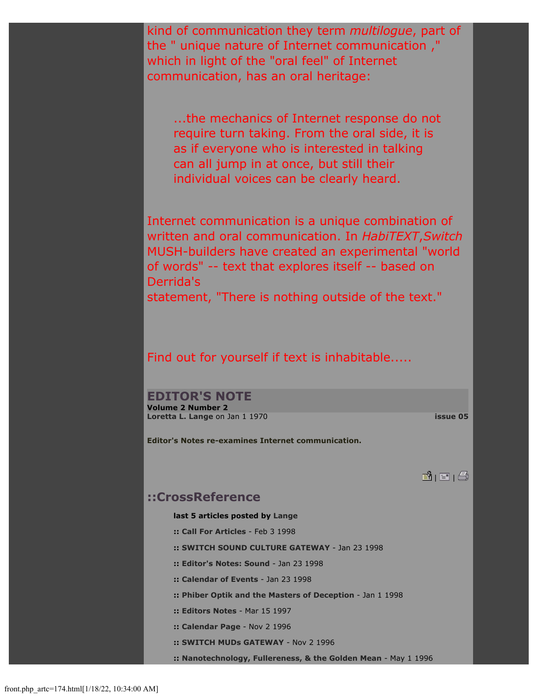kind of communication they term *multilogue*, part of the " unique nature of Internet communication ," which in light of the "oral feel" of Internet communication, has an oral heritage:

...the mechanics of Internet response do not require turn taking. From the oral side, it is as if everyone who is interested in talking can all jump in at once, but still their individual voices can be clearly heard.

Internet communication is a unique combination of written and oral communication. In *HabiTEXT*,*Switch* MUSH-builders have created an experimental "world of words" -- text that explores itself -- based on Derrida's

statement, "There is nothing outside of the text."

### Find out for yourself if text is inhabitable.....

## **EDITOR'S NOTE**

**Volume 2 Number 2 [Loretta L. Lange](file:///Users/nszydlowski/Desktop/websites%20copy/Switch%20Journal/switch.sjsu.edu/archive/nextswitch/switch_engine/front/users.php_w%3d43.html)** on Jan 1 1970 **[issue 05](file:///Users/nszydlowski/Desktop/websites%20copy/Switch%20Journal/switch.sjsu.edu/archive/nextswitch/switch_engine/front/front.php_cat%3d9.html)**

**Editor's Notes re-examines Internet communication.** 

**B** | E | ②

### **::CrossReference**

**last 5 articles posted by [Lange](file:///Users/nszydlowski/Desktop/websites%20copy/Switch%20Journal/switch.sjsu.edu/archive/nextswitch/switch_engine/front/users.php_w%3d43.html)**

- **:: [Call For Articles](file:///Users/nszydlowski/Desktop/websites%20copy/Switch%20Journal/switch.sjsu.edu/archive/nextswitch/switch_engine/front/front.php_artc%3d165.html)** Feb 3 1998
- **:: [SWITCH SOUND CULTURE GATEWAY](file:///Users/nszydlowski/Desktop/websites%20copy/Switch%20Journal/switch.sjsu.edu/archive/nextswitch/switch_engine/front/front.php_artc%3d164.html)** Jan 23 1998
- **:: [Editor's Notes: Sound](file:///Users/nszydlowski/Desktop/websites%20copy/Switch%20Journal/switch.sjsu.edu/archive/nextswitch/switch_engine/front/front.php_artc%3d162.html)** Jan 23 1998
- **:: [Calendar of Events](file:///Users/nszydlowski/Desktop/websites%20copy/Switch%20Journal/switch.sjsu.edu/archive/nextswitch/switch_engine/front/front.php_artc%3d163.html)** Jan 23 1998
- **:: [Phiber Optik and the Masters of Deception](file:///Users/nszydlowski/Desktop/websites%20copy/Switch%20Journal/switch.sjsu.edu/archive/nextswitch/switch_engine/front/front.php_artc%3d169.html)** Jan 1 1998
- **:: [Editors Notes](file:///Users/nszydlowski/Desktop/websites%20copy/Switch%20Journal/switch.sjsu.edu/archive/nextswitch/switch_engine/front/front.php_artc%3d58.html)** Mar 15 1997
- **:: [Calendar Page](file:///Users/nszydlowski/Desktop/websites%20copy/Switch%20Journal/switch.sjsu.edu/archive/nextswitch/switch_engine/front/front.php_artc%3d178.html)** Nov 2 1996
- **:: [SWITCH MUDs GATEWAY](file:///Users/nszydlowski/Desktop/websites%20copy/Switch%20Journal/switch.sjsu.edu/archive/nextswitch/switch_engine/front/front.php_artc%3d180.html)** Nov 2 1996
- **:: [Nanotechnology, Fullereness, & the Golden Mean](file:///Users/nszydlowski/Desktop/websites%20copy/Switch%20Journal/switch.sjsu.edu/archive/nextswitch/switch_engine/front/front.php_artc%3d218.html)** May 1 1996